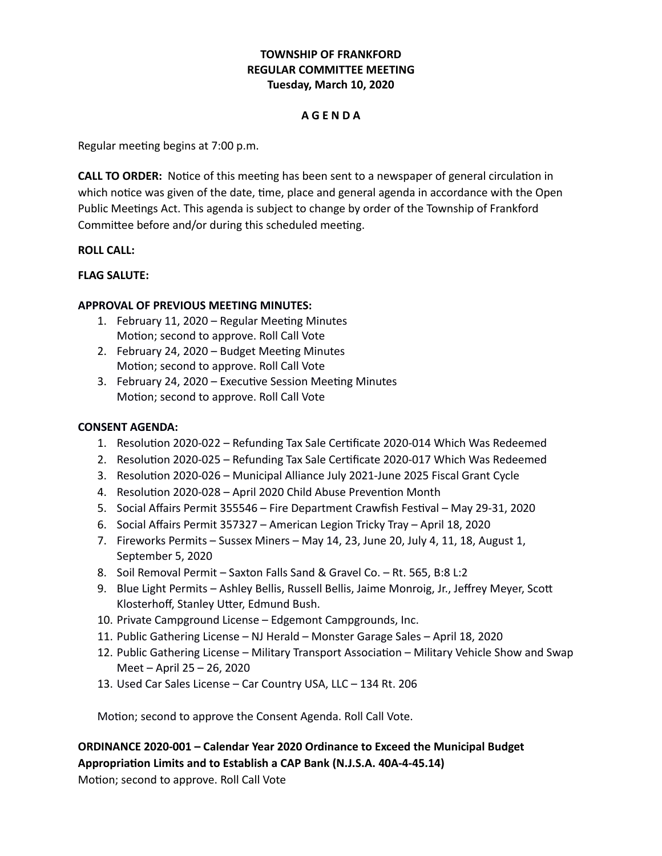# **TOWNSHIP OF FRANKFORD REGULAR COMMITTEE MEETING Tuesday, March 10, 2020**

## **A G E N D A**

Regular meeting begins at 7:00 p.m.

**CALL TO ORDER:** Notice of this meeting has been sent to a newspaper of general circulation in which notice was given of the date, time, place and general agenda in accordance with the Open Public Meetings Act. This agenda is subject to change by order of the Township of Frankford Committee before and/or during this scheduled meeting.

## **ROLL CALL:**

## **FLAG SALUTE:**

## **APPROVAL OF PREVIOUS MEETING MINUTES:**

- 1. February 11, 2020 Regular Meeting Minutes Motion; second to approve. Roll Call Vote
- 2. February 24, 2020 Budget Meeting Minutes Motion; second to approve. Roll Call Vote
- 3. February 24, 2020 Executive Session Meeting Minutes Motion; second to approve. Roll Call Vote

## **CONSENT AGENDA:**

- 1. Resolution 2020-022 Refunding Tax Sale Certificate 2020-014 Which Was Redeemed
- 2. Resolution 2020-025 Refunding Tax Sale Certificate 2020-017 Which Was Redeemed
- 3. Resolution 2020-026 Municipal Alliance July 2021-June 2025 Fiscal Grant Cycle
- 4. Resolution 2020-028 April 2020 Child Abuse Prevention Month
- 5. Social Affairs Permit 355546 Fire Department Crawfish Festival May 29-31, 2020
- 6. Social Affairs Permit 357327 American Legion Tricky Tray April 18, 2020
- 7. Fireworks Permits Sussex Miners May 14, 23, June 20, July 4, 11, 18, August 1, September 5, 2020
- 8. Soil Removal Permit Saxton Falls Sand & Gravel Co. Rt. 565, B:8 L:2
- 9. Blue Light Permits Ashley Bellis, Russell Bellis, Jaime Monroig, Jr., Jeffrey Meyer, Scott Klosterhoff, Stanley Utter, Edmund Bush.
- 10. Private Campground License Edgemont Campgrounds, Inc.
- 11. Public Gathering License NJ Herald Monster Garage Sales April 18, 2020
- 12. Public Gathering License Military Transport Association Military Vehicle Show and Swap Meet – April 25 – 26, 2020
- 13. Used Car Sales License Car Country USA, LLC 134 Rt. 206

Motion; second to approve the Consent Agenda. Roll Call Vote.

**ORDINANCE 2020-001 – Calendar Year 2020 Ordinance to Exceed the Municipal Budget Appropriation Limits and to Establish a CAP Bank (N.J.S.A. 40A-4-45.14)**

Motion; second to approve. Roll Call Vote